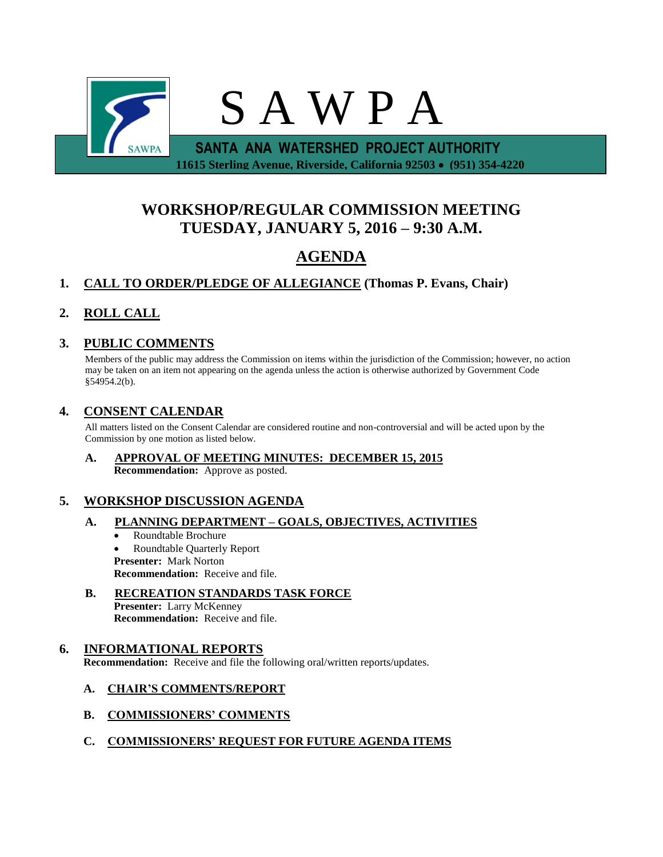

# **WORKSHOP/REGULAR COMMISSION MEETING TUESDAY, JANUARY 5, 2016 – 9:30 A.M.**

# **AGENDA**

## **1. CALL TO ORDER/PLEDGE OF ALLEGIANCE (Thomas P. Evans, Chair)**

## **2. ROLL CALL**

### **3. PUBLIC COMMENTS**

Members of the public may address the Commission on items within the jurisdiction of the Commission; however, no action may be taken on an item not appearing on the agenda unless the action is otherwise authorized by Government Code §54954.2(b).

### **4. CONSENT CALENDAR**

All matters listed on the Consent Calendar are considered routine and non-controversial and will be acted upon by the Commission by one motion as listed below.

#### **A. APPROVAL OF MEETING MINUTES: DECEMBER 15, 2015 Recommendation:** Approve as posted.

### **5. WORKSHOP DISCUSSION AGENDA**

#### **A. PLANNING DEPARTMENT – GOALS, OBJECTIVES, ACTIVITIES**

- Roundtable Brochure Roundtable Quarterly Report **Presenter:** Mark Norton **Recommendation:** Receive and file.
- **B. RECREATION STANDARDS TASK FORCE Presenter:** Larry McKenney **Recommendation:** Receive and file.

### **6. INFORMATIONAL REPORTS**

**Recommendation:** Receive and file the following oral/written reports/updates.

#### **A. CHAIR'S COMMENTS/REPORT**

- **B. COMMISSIONERS' COMMENTS**
- **C. COMMISSIONERS' REQUEST FOR FUTURE AGENDA ITEMS**